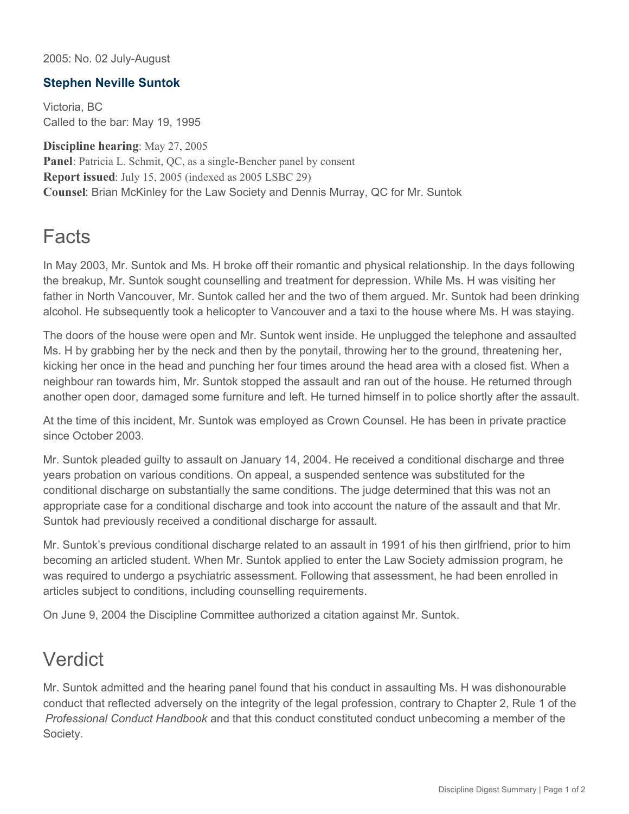2005: No. 02 July-August

## **Stephen Neville Suntok**

Victoria, BC Called to the bar: May 19, 1995

**Discipline hearing**: May 27, 2005 **Panel**: Patricia L. Schmit, QC, as a single-Bencher panel by consent **Report issued**: July 15, 2005 (indexed as 2005 LSBC 29) **Counsel**: Brian McKinley for the Law Society and Dennis Murray, QC for Mr. Suntok

## **Facts**

In May 2003, Mr. Suntok and Ms. H broke off their romantic and physical relationship. In the days following the breakup, Mr. Suntok sought counselling and treatment for depression. While Ms. H was visiting her father in North Vancouver, Mr. Suntok called her and the two of them argued. Mr. Suntok had been drinking alcohol. He subsequently took a helicopter to Vancouver and a taxi to the house where Ms. H was staying.

The doors of the house were open and Mr. Suntok went inside. He unplugged the telephone and assaulted Ms. H by grabbing her by the neck and then by the ponytail, throwing her to the ground, threatening her, kicking her once in the head and punching her four times around the head area with a closed fist. When a neighbour ran towards him, Mr. Suntok stopped the assault and ran out of the house. He returned through another open door, damaged some furniture and left. He turned himself in to police shortly after the assault.

At the time of this incident, Mr. Suntok was employed as Crown Counsel. He has been in private practice since October 2003.

Mr. Suntok pleaded guilty to assault on January 14, 2004. He received a conditional discharge and three years probation on various conditions. On appeal, a suspended sentence was substituted for the conditional discharge on substantially the same conditions. The judge determined that this was not an appropriate case for a conditional discharge and took into account the nature of the assault and that Mr. Suntok had previously received a conditional discharge for assault.

Mr. Suntok's previous conditional discharge related to an assault in 1991 of his then girlfriend, prior to him becoming an articled student. When Mr. Suntok applied to enter the Law Society admission program, he was required to undergo a psychiatric assessment. Following that assessment, he had been enrolled in articles subject to conditions, including counselling requirements.

On June 9, 2004 the Discipline Committee authorized a citation against Mr. Suntok.

## Verdict

Mr. Suntok admitted and the hearing panel found that his conduct in assaulting Ms. H was dishonourable conduct that reflected adversely on the integrity of the legal profession, contrary to Chapter 2, Rule 1 of the *Professional Conduct Handbook* and that this conduct constituted conduct unbecoming a member of the Society.